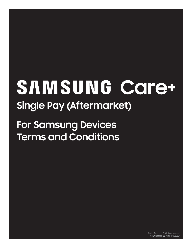# SAMSUNG Care+ **Single Pay (Aftermarket)**

**For Samsung Devices Terms and Conditions**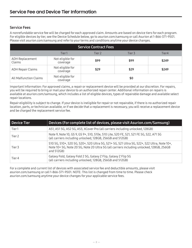# Service Fees

A nonrefundable service fee will be charged for each approved claim. Amounts are based on device tiers for each program. For eligible devices by tier, see the Device Schedule below, go to asurion.com/samsung or call Asurion at 1-866-371-9501. Please visit asurion.com/samsung and refer to your terms and conditions anytime your device changes.

| <b>Service Contract Fees</b>  |                              |        |        |       |
|-------------------------------|------------------------------|--------|--------|-------|
|                               | Tier1                        | Tier 2 | Tier 3 | Tier4 |
| ADH Replacement<br>Claims     | Not eligible for<br>coverage | \$99   | \$99   | \$249 |
| <b>ADH Repair Claims</b>      | Not eligible for<br>coverage | \$29   | \$29   | \$249 |
| <b>All Malfunction Claims</b> | Not eligible for<br>coverage |        | \$0    |       |

Important Information: For approved claims, a repair or replacement device will be provided at our discretion. For repairs, you will be required to bring or mail your device to an authorized repair center. Additional information on repairs is available at asurion.com/samsung, which includes a list of eligible devices, types of repairable damage and available select repair locations.

Repair eligibility is subject to change. If your device is ineligible for repair or not repairable, if there is no authorized repair location, parts, or technician available, or if we decide that a replacement is necessary, you will receive a replacement device and be charged the replacement service fee.

| Device Tier       | Devices (For complete list of devices, please visit Asurion.com/Samsung)                                                                                                                            |  |  |
|-------------------|-----------------------------------------------------------------------------------------------------------------------------------------------------------------------------------------------------|--|--|
| Tier1             | A51, A51 5G, A52 5G, A53, XCover Pro (all carriers including unlocked, 128GB)                                                                                                                       |  |  |
| Tier <sub>2</sub> | Note 9, Note 10, GS 9, GS 9+, S10, S10e, S10 Lite, S20 FE, S21, S21 FE 5G, S22, A71 5G<br>(all carriers including unlocked, 128GB, 256GB and 512GB)                                                 |  |  |
| Tier 3            | S10 5G, S10+, S20 5G, S20+, S20 Ultra 5G, S21+ 5G, S21 Ultra 5G, S22+, S22 Ultra, Note 10+,<br>Note 10+5G, Note 205G, Note 20 Ultra 5G (all carriers including unlocked, 128GB, 256GB<br>and 512GB) |  |  |
| Tier 4            | Galaxy Fold, Galaxy Fold 2 5G, Galaxy Z Flip, Galaxy Z Flip 5G<br>(all carriers including unlocked, 128GB, 256GB and 512GB)                                                                         |  |  |

For a complete and current list of devices with associated service fee and deductible amounts, please visit asurion.com/samsung or call 1-866-371-9501. NOTE: This list is changed from time to time. Please check asurion.com/samsung anytime your device changes for your applicable service fees.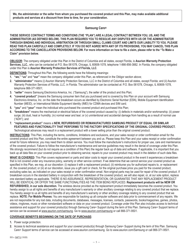#### **Samsung Care+**

**THESE SERVICE CONTRACT TERMS AND CONDITIONS (THE "PLAN") ARE A LEGAL CONTRACT BETWEEN YOU, US, AND THE ADMINISTRATOR (AS DEFINED BELOW). THIS PLAN REQUIRES YOU TO RESOLVE ANY DISPUTES WITH US OR THE ADMINISTRATOR THROUGH BINDING AND INDIVIDUAL ARBITRATION OR THROUGH SMALL CLAIMS COURT AND LIMITS OUR LIABILITY TO YOU. PLEASE READ THIS PLAN CAREFULLY AND COMPLETELY. IF YOU DO NOT AGREE WITH ANY OF ITS PROVISIONS, YOU MAY CANCEL THIS PLAN ACCORDING TO THE CANCELLATION PROVISIONS BELOW. For more information on how to file a claim, please refer to the "To Make a Claim" provision below.**

**OBLIGOR:** The company obligated under this Plan in the District of Columbia and all states, except Florida, is **Asurion Warranty Protection Services, LLC.**, who can be contacted at P.O. Box 061078, Chicago, IL 60606-1078, telephone 1-866-856-3882. In Florida, the company obligated under this Plan is **Asurion Warranty Protection Services of Florida, LLC**.

**DEFINITIONS:** Throughout this Plan, the following words have the following meanings:

- **1. "we," "us"** and **"our"** mean the company obligated under this Plan, as referenced in the Obligor section above;
- **2. "administrator"** means (i) Asurion Warranty Protection Services, LLC in the District of Columbia and all states, except Florida; and (ii) Asurion Warranty Protection Services of Florida, LLC. in Florida. The administrator can be contacted at: P.O. Box 061078, Chicago, IL 60606-1078, telephone 866-371-9501;
- **3. "seller"** means Samsung Electronics America, Inc. ("Samsung"), the seller of the product and this Plan;
- **4. "covered product"** [means the Samsung consumer item that you purchased and is covered by this Plan on your account with Samsung Electronics America, Inc. on the date the breakdown occurs as identified by Electronic Serial Number (ESN), Mobile Equipment Identification Number (MEID), or International Mobile Equipment Identity (IMEI) for CDMA devices and SIM card;
- **5. "you"** and **"your"** mean the individual who purchased the covered product and purchased this Plan;
- **6. "breakdown"** means the mechanical or electrical failure of the covered product caused by: (i) defects in materials and/or workmanship; (ii) power surge; (iii) dust, heat or humidity; (iv) normal wear and tear; or (v) unintentional and accidental damage from handling as a result of normal use ("ADH"); and
- **7. "replacement product"** means a **NEW, REFURBISHED OR REMANUFACTURED SAMSUNG PRODUCT OF EQUAL OR SIMILAR FEATURES AND FUNCTIONALITY THAT PERFORMS TO THE FACTORY SPECIFICATIONS OF THE ORIGINAL COVERED PRODUCT.** Technological advances may result in a replacement product with a lower selling price than the original covered product.

**INSTRUCTIONS:** This Plan, including the terms, conditions, limitations and exclusions, and your sales receipt or order confirmation email for the covered product and this Plan, constitute the entire agreement between you and us. Please keep this Plan and your sales receipt or order confirmation email for future reference; you may need them to obtain service. You must follow the manufacturer's instructions for proper use, care and maintenance of the covered product. Failure to follow the manufacturer's maintenance and service guidelines may result in the denial of coverage under this Plan. We strongly recommend (but do not require as a condition of this Plan) the regular back up of data and software. If applicable, it is important that you back up all data files on your covered product prior to obtaining service; repairs to your covered product may result in the deletion of such data files.

**WHAT IS COVERED:** This Plan covers replacement or parts and labor costs to repair your covered product in the event it experiences a breakdown that is not covered under any insurance policy, warranty or other service contract. If we determine that we cannot service your covered product as specified in this Plan, we may, at our discretion: (i) replace it with a replacement product; (ii) reimburse you for authorized repairs to, or replacement of, the covered product; or (iii) at our discretion, issue you a gift card or check, for the original purchase price you paid for the covered product, excluding sales tax, as indicated on your sales receipt or order confirmation email. Non-original parts may be used for repair of the covered product. If breakdown occurs in the standard battery in conjunction with the breakdown of the covered product, we will also repair, or, at our sole option, replace one standard battery as applicable. THERE IS NO ASSURANCE, REPRESENTATION, OR GUARANTEE THAT ANY REPLACEMENT PRODUCT WILL BE IDENTICAL OR OFFER THE SAME FUNCTIONALITIES AS THE ITEM BEING REPLACED. **Replacement products will be NEW OR REFURBISHED, in our sole discretion.** The wireless device provided as the replacement product immediately becomes the covered product. You hereby assign to us all rights and benefits of any manufacturer's warranty or other ancillary coverage relating to any covered product that we replace. You hereby assign to us all rights and benefits of any manufacturer's warranty or other ancillary coverage relating to any covered product that we replace. **NOTE: For Mobile Phones:** You are responsible for backing up all computer software and data prior to commencement of any repairs. We are not responsible for any lost data, including documents, databases, messages, licenses, contacts, passwords, books/magazines, games, photos, videos, ringtones, music or other nonstandard software or data on your covered product. Coverage under this Plan also includes access to technical assistance and support for your covered product(s) through Samsung Care+ Support during the term of this Plan. Samsung Care+ Support terms of service can be accessed at www.asurion.com/samsung. Go to www.asurion.com/samsung or call 866-371-9501.

#### **COVERAGE BENEFITS BEGINNING ON THE DATE OF PURCHASE:**

- **1.** Power surge protection.
- **2.** Access to technical assistance and support for your covered product(s) through Samsung Care+ Support during the term of this Plan. Samsung Care+ Support terms of service can be accessed at www.asurion.com/samsung. Go to www.asurion.com/Samsung or call 866-371-9501.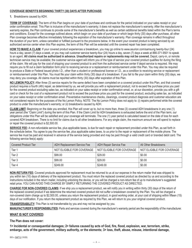#### **COVERAGE BENEFITS BEGINNING THIRTY (30) DAYS AFTER PURCHASE:**

**1.** Breakdowns caused by ADH.

**TERM OF COVERAGE:** The term of this Plan begins on your date of purchase and continues for the period indicated on your sales receipt or your order confirmation email. This Plan is inclusive of the manufacturer's warranty; it does not replace the manufacturer's warranty. After the manufacturer's warranty expires, the Plan continues to provide some of the manufacturer's benefits as well as certain additional benefits listed within the Plan's terms and conditions. Except for the coverage outlined above, which begin on your date of purchase or which begin thirty (30) days after purchase, all other Plan coverage becomes effective immediately following the expiration of the manufacturer's warranty. Plan coverage remains in effect throughout the duration of your term, unless cancelled or fulfilled pursuant to the provisions below. In the event your covered product is being serviced by an authorized service center when this Plan expires, the term of this Plan will be extended until the covered repair has been completed.

**HOW TO MAKE A CLAIM:** If your covered product experiences a breakdown, you may go online to www.asurion.com/samsung twenty-four (24) hours a day, seven (7) days a week, or you may call customer service twenty-four (24) hours a day, seven (7) days a week at 866-371-9501 to speak to an agent. **All claims must be authorized in advance. Unauthorized repairs or replacements may not be covered.** Depot, carry-in, or remote technician service may be available; the customer service agent will inform you of the type of service your covered product qualifies for during the filing of the claim. We will pay for the cost of shipping your covered product to and from the authorized service center if depot service is required. We may require you to fill out a claim facilitation form prior to receiving service or a replacement or reimbursement under this Plan. You may also be required to produce a State or Federal issued photo I.D., other than a student or professional license or I.D., as a condition to receiving service or replacement or reimbursement under this Plan. You must file your claim within thirty (30) days of a breakdown. If you fail to file your claim within thirty (30) days, we may deny you coverage. All claims must be reported within thirty (30) days after expiration of this Plan.

**NO LEMON POLICY:** After three (3) service repairs for the same defect have been completed on a covered product under this Plan, and that covered product requires a fourth (4th) repair, as determined by us, we will provide you with a replacement product, not to exceed the purchase price you paid for the covered product excluding sales tax, as indicated on your sales receipt or order confirmation email, or, at our discretion, provide you with a gift card or check for the cost of a replacement product not to exceed the purchase price you paid for the covered product, excluding sales tax, as indicated on your sales receipt or order confirmation email. Preventative maintenance checks, cleanings, covered product diagnosis and customer education are not considered repairs for the purposes of the No Lemon Policy. NOTE: The No Lemon Policy does not apply to: (i) repairs performed while the covered product is under the manufacturer's warranty; or (ii) breakdowns caused by ADH.

**CLAIM LIMIT:** Beginning on the date you enrolled, this Plan will cover up to, but no more than, three (3) covered ADH breakdowns in any one (1) year period (the "Claim Limit") during the term of this Plan. If the Claim Limit for ADH breakdowns is exhausted before the end of the Plan term, our obligations under this Plan will be satisfied and your coverage will terminate. The one (1) year period is calculated based on the date of loss for each covered ADH breakdown. There is no limit for claims due to all other breakdowns. For any single claim, the maximum amount we will spend to replace or repair the covered product is \$2,500.00.

**SERVICE FEE:** A non-refundable service fee, plus applicable taxes, is due for each repair or replacement provided under this Plan, as set forth in the schedule below. You agree to pay the service fee, plus applicable sales taxes, to us prior to the repair or replacement of the mobile phone. The service fee must be paid and received in advance of the service being provided and may be paid through a valid credit card or branded debit card. The following service fee(s) apply:

| Covered Product Tier | ADH Replacement Service Fee | ADH Repair Service Fee    | All Other Breakdowns      |
|----------------------|-----------------------------|---------------------------|---------------------------|
| Tier 1               | NOT ELIGIBLE FOR COVERAGE   | NOT ELIGIBLE FOR COVERAGE | NOT ELIGIBLE FOR COVERAGE |
| Tier <sub>2</sub>    | \$99.00                     | \$29.00                   | \$0.00                    |
| Tier 3               | \$99.00                     | \$29.00                   | \$0.00                    |
| Tier 4               | \$249.00                    | \$249.00                  | \$0.00                    |

**NON-RETURN FEE:** Covered products approved for replacement must be returned to us at our expense in the return mailer that was shipped to you within ten (10) days of delivery of the replacement product. You must return the replaced covered product as directed by us and according to the instructions included in the return mailer, including unlocking the device, or you will be charged a non-return fee of up to manufacturer's suggested retail price. YOU CAN AVOID THIS CHARGE BY SIMPLY RETURNING THE COVERED PRODUCT AS DIRECTED.

**CHARGE FOR NON-COVERED CLAIMS:** If we ship you a replacement product, we will notify you in writing within thirty (30) days of the return of the replaced covered product if we determine the returned covered product did not suffer a breakdown covered by the Plan. You will be charged a non-covered claim charge up to \$2,500.00, unless you return the replacement product, in good working order, at your cost of shipping within fifteen (15) days of our notification. If you return the replacement product as required by this Plan, we will return to you your original covered product.

**TRANSFERABILITY:** This Plan is not transferrable by you and may not be assigned by you.

**MANUFACTURER'S RESPONSIBILITIES:** Parts and services covered during the manufacturer's warranty period are the responsibility of the manufacturer.

#### **WHAT IS NOT COVERED:**

**The Plan does not cover:**

**1> Incidental or consequential damages; 2> failures caused by acts of God, fire, flood, explosion, war, terrorism, strike, embargo, acts of the government, military authority, or the elements; 3> loss, theft, abuse, misuse, intentional damage,**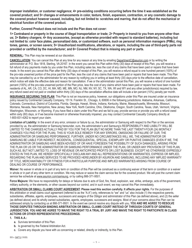**improper installation, or customer negligence; 4> pre-existing conditions occurring before the time it was established as the covered product; and 5> changes or enhancements in color, texture, finish, expansion, contraction, or any cosmetic damage to the covered product however caused, including, but not limited to: scratches and marring, that do not affect the mechanical or electrical function of the covered product.**

**Further, Covered Product does not include and the Plan does not cover:**

**1> Contraband or property in the course of illegal transportation or trade; 2> Property in transit to you from anyone other than us; 3> Battery chargers; 4> Any accessories, (except as otherwise provided with respect to standard batteries), including but not limited to: color face plates, personalized data, or customized software, such as personal information managers (PIMs), ring tones, games, or screen savers; 5> Unauthorized modifications, alterations, or repairs, including the use of third-party parts not provided or certified by the manufacturer; and 6> Covered Product that is missing any part or parts.**

**RENEWAL:** This Plan may be renewed at our discretion.

**CANCELLATION:** You can cancel this Plan at any time for any reason at any time by emailing DepartmentC@asurion.com or by writing the administrator at: P.O. Box 1818, Sterling, VA 20167. In the event you cancel this Plan within thirty (30) days of receipt of this Plan, you will receive a full refund of any payments made by you under this Plan, including sales tax, less the cost of any claims that have been paid or repairs that have been made. In the event you cancel this Plan after thirty (30) days of receipt of this Plan, you will receive a refund equal to one hundred percent (100%) of the pro-rata unearned portion of the price paid for the Plan, less the cost of any claims that have been paid or repairs that have been made. This Plan may be cancelled by us or the administrator for any reason by notifying you in writing at least thirty (30) days prior to the effective date of cancellation, which notice will state the effective date and reason for cancellation. If we or the administrator cancel this Plan, you will receive a refund of one hundred percent (100%) of the pro-rata unearned portion of the Plan price, less the cost of any claims which have been paid or repairs that have been made. For residents of AL, AR, CA, CO, DC, HI, MA, MD, ME, MN, MO, NJ, NM, NV, NY, SC, TX, WA, WI and WY and any other jurisdictions(s) required by law, any refund owed and not paid or credited within thirty (30) days of the cancellation effective date will include a ten percent (10%) penalty per month.

**INSURANCE SECURING THIS PLAN:** This Plan is not an insurance policy, however, our obligations under this Plan are insured under an insurance policy issued by Continental Casualty Company, 151 N. Franklin St., Chicago, IL 60606 in the following jurisdictions: Alabama, Arkansas, California, Colorado, Connecticut, District of Columbia, Florida, Georgia, Hawaii, Illinois, Indiana, Kentucky, Maine, Massachusetts, Minnesota, Missouri, Montana, Nevada, New Hampshire, New Jersey, New York, North Carolina, Ohio, Oklahoma, Oregon, South Carolina, Texas, Utah, Vermont, Virginia, Washington, Wisconsin, or Wyoming. If you have filed a claim under this Plan and we fail to pay, provide service or provide you with a refund owed within sixty (60) days, or if we become insolvent or otherwise financially impaired, you may contact Continental Casualty Company directly at 1-800-831-4262 to report your claim.

Limitation of Liability: In the event of any error, omission or failure by us, the administrator or Samsung with respect to the Plan or the services provided by us, the administrator or Samsung hereunder, ours, the administrator's and Samsung's RESPONSIBILITY AND LIABILITY WILL BE LIMITED TO THE CHARGES ACTUALLY PAID BY YOU FOR THE PLAN (BUT NO MORE THAN THE LAST TWENTY-FOUR (24) MONTHLY CHARGES YOU PAID FOR THE PLAN). THIS IS YOUR SOLE REMEDY FOR ANY ERRORS, OMISSIONS OR FAILURE OF OUR, THE ADMINISTRATOR OR SAMSUNG PERFORMANCE. FURTHER, UNDER NO CIRCUMSTANCES WILL WE, THE ADMINISTRATOR OR SAMSUNG BE LIABLE FOR INDIRECT, INCIDENTAL, CONSEQUENTIAL, SPECIAL, EXEMPLARY OR PUNITIVE DAMAGES (EVEN IF WE, THE ADMINISTRATOR OR SAMSUNG HAVE BEEN ADVISED OF OR HAVE FORESEEN THE POSSIBILITY OF SUCH DAMAGES), ARISING FROM THE PLAN OR US OR THE ADMINISTRATOR OR SAMSUNG PERFORMANCE UNDER THE PLAN, OR UNDER ANY PROVISION OF THIS PLAN, SUCH AS, BUT NOT LIMITED TO, LOSS OF REVENUE OR ANTICIPATED PROFITS OR LOST BUSINESS. EXCEPT AS OTHERWISE EXPRESSLY STATED IN THIS PLAN, WE HEREBY SPECIFICALLY DISCLAIM ANY AND ALL REPRESENTATIONS OR WARRANTIES, EXPRESS OR IMPLIED, REGARDING THE PLAN AND SERVICES TO BE PROVIDED HEREUNDER BY ASURION AND SAMSUNG, INCLUDING ANY IMPLIED WARRANTY OF TITLE, MERCHANTABILITY OR FITNESS FOR A PARTICULAR PURPOSE AND IMPLIED WARRANTIES ARISING FROM COURSE OF DEALING OR COURSE OF PERFORMANCE.

**Waiver:** No waiver in whole or in part of any term or condition of this Plan will be construed as a continuing waiver of that term or condition or a waiver in whole or in part of any other term or condition. We may reduce or waive the claim service fee for the covered product. We will post the current claim service fee schedule at www.asurion.com/samsung, or by calling 866-371-9501.

Force Majeure: We have no responsibility for delays or failures due to acts of God, fire, flood, explosion, war, strike, embargo, acts of the government, military authority, or the elements, or other causes beyond our control, and in such event, we may cancel this Plan immediately.

**ARBITRATION OR SMALL CLAIMS COURT AGREEMENT: Please read this section carefully. It affects your rights.** For the purposes of this arbitration or small claims court agreement (referred to as the "A.A") only, references to "we" and "us" also include (1) the respective parents, subsidiaries, affiliates, agents, employees, successors and assigns of the Obligor and administrator of this Plan (as defined above), and (2) the seller (as defined above) and its wholly owned subsidiaries, agents, employees, successors and assigns. Most of your concerns about this Plan can be addressed simply by contacting us at 866-371-9501. In the event we cannot resolve any dispute with you, **YOU AND WE AGREE TO RESOLVE THOSE DISPUTES THROUGH BINDING ARBITRATION OR SMALL CLAIMS COURT INSTEAD OF THROUGH COURTS OF GENERAL JURISDICTION. YOU AND WE AGREE TO WAIVE THE RIGHT TO A TRIAL BY JURY AND WAIVE THE RIGHT TO PARTICIPATE IN CLASS ACTIONS OR OTHER REPRESENTATIVE PROCEEDINGS.**

**1. THIS A.A.:**

- **a.** Survives termination of this Plan.
- **b.** Is governed by the Federal Arbitration Act.
- **c.** Covers any dispute you have with us concerning or related, directly or indirectly, to this Plan.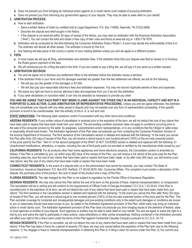- **d.** Does not prevent you from bringing an individual action against us in small claims court instead of pursuing arbitration.
- **e.** Does not prevent you from informing any government agency of your dispute. They may be able to seek relief on your behalf.

# **2. ARBITRATION PROCESS:**

- **a.** How to start arbitration.
	- Send a written Notice of Claim by certified mail to Legal Department, P.O. Box 110656, Nashville, TN 37222-0656.
	- Describe the dispute and relief sought in the Notice.
	- If the dispute is not resolved within 30 days of receipt of the Notice, you may start an arbitration with the American Arbitration Association ("AAA"). You can contact the AAA and obtain a free copy of their rules and forms at www.adr.org or 1-800-778-7879.
- **b.** Arbitration will be conducted by the AAA following the Consumer Arbitration Rules ("Rules"). A court may decide the enforceability of this A.A. The arbitrator will decide all other issues. The arbitrator is bound by this A.A.
- **c.** Any hearing will take place in the county or parish of your mailing address unless you and we agree to a different location.

#### **3. FEES:**

- **a.** In most cases we will pay all filing, administration and arbitrator fees. If the arbitrator finds that your dispute was filed to harass or is frivolous, the Rules govern payment of the fees.
- **b.** We will reimburse you for a filing fee paid to the AAA. If you are unable to pay a filing fee, we will pay it if you send us a written request.

### **4. ARBITRATION DECISION:**

- **a.** You and we agree not to disclose any settlement offers to the arbitrator before the arbitrator issues a decision.
- **b.** If the arbitrator finds in your favor and the damages awarded are greater than the last settlement we offered, we will do the following.
	- We will pay you the greater of the damages or \$7,500.
	- We will also pay your reasonable attorney's fees and arbitration expenses. You may not recover duplicate awards of fees and expenses.
- **c.** We waive any right we have to recover attorney's fees and expenses from you if we win the arbitration.
- **d.** If you seek declaratory or injunctive relief, it can only be awarded as necessary to provide you relief.

**YOU AND WE AGREE THAT EACH PARTY MAY BRING CLAIMS AGAINST THE OTHER ONLY IN AN INDIVIDUAL CAPACITY AND NOT IN A PURPORTED CLASS ACTION, CLASS ARBITRATION OR REPRESENTATIVE PROCEEDING.** Unless you and we agree otherwise, the arbitrator may not consolidate your dispute with any other person's dispute and may not preside over any form of representative proceeding. If this specific provision is found to be unenforceable, then the entirety of this A. A. is null and void.

**STATE VARIATIONS:** The following state variations control if inconsistent with any other terms and conditions:

**ARIZONA RESIDENTS:** If your written notice of cancellation is received prior to the expiration of the term, we will not deduct the cost of any claims that have been paid or repairs that have been made from your refund. The pre-existing condition exclusion does not apply to conditions occurring prior to the sale of the consumer product by the seller, its assignees, subcontractors and/or representatives, or to any conditions that the Obligor or seller knew or reasonably should have known. The Arbitration Agreement of this Plan does not preclude you from contacting the Consumer Protection Division of the Arizona Department of Insurance. The third sentence of the Cancellation section is deleted and replaced with the following: "In the event you cancel this Plan after thirty (30) days of receipt of this Plan, you will receive a refund equal to one hundred percent (100%) of the pro-rata unearned portion of the price paid for the Plan." Item 5> of the second paragraph of the WHAT IS NOT COVERED section is deleted and replaced with the following: 5> Unauthorized modifications, alterations, or repairs, including the use of third-party parts not provided or certified by the manufacturer while owned by you;"

**CALIFORNIA RESIDENTS:** For all products other than home appliances and home electronic products, the Cancellation section is amended as follows: If the Plan is cancelled by you: (a) within sixty (60) days of the receipt of this Plan, you will receive a full refund of the price paid for the Plan, including sales tax, less the cost of any claims that have been paid or repairs that have been made, or (b) after sixty (60) days, you will receive a pro rata refund, less the cost of any claims that have been made or repairs that have been made.

**CONNECTICUT RESIDENTS:** In the event of a dispute with us or the administrator that cannot be resolved, you may contact The State of Connecticut, Insurance Department, P.O. Box 816, Hartford, CT 06142-0816, Attn: Consumer Affairs. The complaint must contain a description of the dispute, the purchase price of the product, the cost of repair of the product and a copy of the Plan.

**FLORIDA RESIDENTS:** The rate charged for this Plan is not subject to regulation by the Florida Office of Insurance Regulation.

**GEORGIA RESIDENTS:** We may only cancel this Plan before the end of its term on the grounds of fraud, material misrepresentation, or nonpayment. The cancellation will be in writing and will conform to the requirements of Official Code of Georgia Annotated ("O.C.G.A.") 33-24-44. If this Plan is cancelled prior to the expiration of its term, we will not deduct the cost of any claims that have been paid or repairs that have been made from your refund. The third sentence in the Cancellation section is deleted and replaced with the following: "In the event you cancel this Plan after thirty (30) days of receipt of this Plan, you will receive a refund equal to one hundred percent (100%) of the pro-rata unearned portion of the price paid for the Plan. This Plan excludes coverage for incidental and consequential damages and pre-existing conditions only to the extent such damages or conditions are known to you or reasonably should have been known to you. As stated in the Arbitration Agreement provision of this Plan, either party may bring an individual action in small claims court. The Arbitration Agreement provision of this Plan does not preclude you from bringing issues to the attention of federal, state, or local agencies or entities of your dispute. Such agencies or entities may be able to seek relief on your behalf. You and we agree to waive the right to a trial by jury and waive the right to participate in class actions, class arbitrations or other similar proceedings. Nothing contained in the Arbitration provision will affect your right to file a direct claim under the terms of this Plan against Continental Casualty Company pursuant to O.C.G.A. 33-7-6.

**NEVADA RESIDENTS:** If the Plan is cancelled, we will not deduct the cost of any claims that have been paid or repairs that have been made from your refund. If this Plan has been in force for a period of seventy (70) days, we may only cancel before the expiration of the Plan term due to the following reasons: 1) You engage in fraud or material misrepresentation in obtaining this Plan or in filing a claim for service under this Plan; 2) You commit any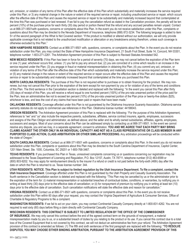act, omission, or violation of any terms of this Plan after the effective date of this Plan which substantially and materially increases the service required under this Plan; or 3) any material change in the nature or extent of the required service or repair, including unauthorized service or repair, which occurs after the effective date of this Plan and causes the required service or repair to be substantially and materially increased beyond that contemplated at the time this Plan was purchased or last renewed. If we fail to pay the cancellation refund as stated in the Cancellation provision, the penalty will be ten percent (10%) of the purchase price for each thirty (30) day period or portion thereof that the refund and any accrued penalties remain unpaid. Contact us at 866-371-9501with questions, concerns or complaints about this Plan. In the event you do not receive satisfaction under this Plan, complaints or questions about this Plan may be directed to the Nevada Department of Insurance, telephone (888) 872-3234. The following language is added to item 5> of the second paragraph of the What Is Not Covered section: "If the product is modified or altered without our authorization, we will only provide applicable coverage that is not related to the unauthorized modification or altercation or any breakdowns arising therefrom, unless such coverage is otherwise excluded by this Plan."

**NEW HAMPSHIRE RESIDENTS:** Contact us at 866-371-9501 with, questions, concerns, or complaints about the Plan. In the event you do not receive satisfaction under this Plan, you may contact the State of New Hampshire Insurance Department, 21 South Fruit Street, Suite 14, Concord, NH 03301, telephone number: 1-603-271-2261. The Arbitration Agreement provision of this Plan is subject to Revised Statutes Annotated 542.

**NEW MEXICO RESIDENTS:** If this Plan has been in force for a period of seventy (70) days, we may not cancel before the expiration of the Plan term or one (1) year, whichever occurs first, unless: (1) you fail to pay any amount due; (2) you are convicted of a crime which results in an increase in the service required under the Plan; (3) you engage in fraud or material misrepresentation in obtaining this Plan; (4) you commit any act, omission, or violation of any terms of this Plan after the effective date of this Plan which substantially and materially increase the service required under this Plan; or (5) any material change in the nature or extent of the required service or repair occurs after the effective date of this Plan and causes the required service or repair to be substantially and materially increased beyond that contemplated at the time you purchased this Plan.

**NORTH CAROLINA RESIDENTS:** The purchase of this Plan is not required either to purchase or to obtain financing for the product. We may nonrenew, but may not cancel this Plan prior to the expiration of the term except for non-payment by you or for violation of any of the terms and conditions of this Plan. The third sentence in the Cancellation section is deleted and replaced with the following: "In the event you cancel this Plan after thirty (30) days of receipt of this Plan, you will receive a refund equal to one hundred percent (100%) of the pro-rata unearned portion of the price paid for the Plan, less an administrative fee not to exceed ten percent (10%) of the pro-rata unearned portion of the Plan price or twenty-five dollars (\$25), whichever is less, and less the cost of any claims that have been paid or repairs that have been made."

**OKLAHOMA RESIDENTS:** Coverage afforded under this Plan is not guaranteed by the Oklahoma Insurance Guaranty Association. Oklahoma service warranty statutes do not apply to commercial use references in this Plan. Oklahoma license number: 44198043.

**OREGON RESIDENTS:** The Arbitration Agreement provision of this Plan is replaced with the following: "For the purpose of this Arbitration Agreement, references to "we" and "us" also include the respective parents, subsidiaries, affiliates, service contract insurers, agents, employees, successors and assigns of the Plan Obligor and administrator, as defined above; and the seller and its wholly owned subsidiaries, affiliates, agents, employees, successors and assigns. Most of your concerns about the Plan can be addressed simply by contacting us at 866-371-9501. In the event we cannot resolve any dispute, you and we may, in a separate agreement, consent to arbitration. **YOU AND WE AGREE THAT EACH PARTY MAY BRING CLAIMS AGAINST THE OTHER ONLY IN AN INDIVIDUAL CAPACITY AND NOT AS A CLASS REPRESENTATIVE OR CLASS MEMBER IN ANY PURPORTED CLASS ACTION, CLASS ARBITRATION OR OTHER SIMILAR PROCEEDING.** Any arbitration proceedings will be conducted within the state of Oregon."

**SOUTH CAROLINA RESIDENTS:** Contact us at 866-371-9501 with questions, concerns or complaints about this Plan. In the event you do not receive satisfaction under this Plan, complaints or questions about this Plan may be directed to the South Carolina Department of Insurance, Capitol Center, 1201 Main Street, Ste. 1000, Columbia, SC 29201 or 1-800-768-3467.

**TEXAS RESIDENTS:** If you purchased this Plan in Texas, unresolved complaints concerning us or questions concerning our registration may be addressed to the Texas Department of Licensing and Regulation, P.O. Box 12157, Austin, TX 78711, telephone number (512) 463-6599 or (800) 803-9202. You may apply for reimbursement directly to the insurer if a refund or credit is not paid before the forty-sixth (46th) day after the date on which the Plan is returned to us. Texas license number: 344.

**UTAH RESIDENTS: NOTICE. This Plan is subject to limited regulation by the Utah Insurance Department. To file a complaint, contact the Utah Insurance Department**. Coverage afforded under this Plan is not guaranteed by the Utah Property and Casualty Guaranty Association. The fourth sentence in the Cancellation section is deleted and replaced with the following: "This Plan may be cancelled by us or the administrator prior to the expiration of the term for: (i) material misrepresentation or substantial breaches of contractual duties, conditions, or warranties, by notifying you in writing at least thirty (30) days prior to the effective date of cancellation; or (ii) for nonpayment of premium by notifying you in writing at least ten (10) days prior to the effective date of cancellation. Such cancellation notifications will state the effective date and reason for cancellation."

**VIRGINIA RESIDENTS:** Contact us at 866-371-9501 with questions, concerns or complaints about this Plan. In the event you do not receive satisfaction under this Plan within 60 days after your request, you may contact the Virginia Department of Agriculture & Consumer Services, Office of Charitable & Regulatory Programs to file a complaint.

**WASHINGTON RESIDENTS:** If we fail to act on your claim, you may contact Continental Casualty Company directly at 1-800-831-4262. You are not required to wait sixty (60) days before filing a claim directly with Continental Casualty Company.

**WISCONSIN RESIDENTS: THIS CONTRACT IS SUBJECT TO LIMITED REGULATION BY THE OFFICE OF THE COMMISSIONER** 

**OF INSURANCE.** We may only cancel this contract before the end of the agreed contract term on the grounds of nonpayment, a material misrepresentation made by you to us, or a substantial breach of duties by you relating to the product or its use. If you cancel this contract due to a total loss of the Covered Equipment that is not covered by this contract, we will not deduct an administrative fee from your refund. The Arbitration Agreement provision of this contract is amended as follows: (1) The fifth and sixth sentences of the first paragraph are replaced with the following: **"TO RESOLVE DISPUTES, YOU MAY CHOOSE EITHER BINDING ARBITRATION, PURSUANT TO THE ARBITRATION AGREEMENT PROVISION OF THIS**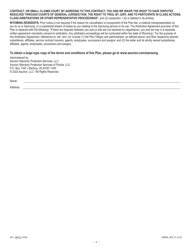#### **CONTRACT, OR SMALL CLAIMS COURT. BY AGREEING TO THIS CONTRACT, YOU AND WE WAIVE THE RIGHT TO HAVE DISPUTES RESOLVED THROUGH COURTS OF GENERAL JURISDICTION, THE RIGHT TO TRIAL BY JURY, AND TO PARTICIPATE IN CLASS ACTIONS, CLASS ARBITRATIONS OR OTHER REPRESENTATIVE PROCEEDINGS"**; and (2) subsection 1.(b) is deleted in its entirety.

**WYOMING RESIDENTS:** Prior notice is not required if the reason for cancellation is nonpayment of the Plan fee, a material misrepresentation by you to us or Samsung, or a substantial breach of duties by you relating to the Samsung service or its use. The Arbitration Agreement provision of this Plan is replaced with the following: "If there are disputes between you and us that are not resolved by negotiations, you and we may in a separate written agreement voluntarily consent to arbitration. Any arbitration proceedings will be conducted within the state of Wyoming." For the purpose of this Arbitration Agreement, references to "we" and "us" include (1) the Plan Obligor and administrator, as defined above, and their respective parents, subsidiaries, affiliates, service contract insurers, agents, employees, successors and assigns; and (2) the seller and its wholly owned subsidiaries, affiliates, agents, employees, successors and assigns.

#### **To obtain a large-type copy of the terms and conditions of this Plan, please go to www.asurion.com/samsung.**

Administered by: Asurion Warranty Protection Services, LLC Asurion Warranty Protection Services of Florida, LLC. P.O. Box 1340 • Sterling, VA 20167-1340 © 2022 Asurion, LLC • All Rights Reserved.

Name:

Address: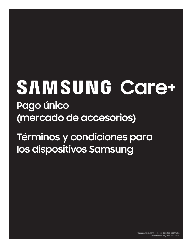# SAMSUNG Care+ **Pago único (mercado de accesorios)**

**Términos y condiciones para los dispositivos Samsung**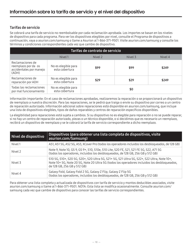# Tarifas de servicio

Se cobrará una tarifa de servicio no reembolsable por cada reclamación aprobada. Los importes se basan en los niveles de dispositivo para cada programa. Para ver los dispositivos elegibles por nivel, consulte el Programa de dispositivos a continuación, vaya a asurion.com/samsung o llame a Asurion al 1-866-371-9501. Visite asurion.com/samsung y consulte los términos y condiciones correspondientes cada vez que cambie de dispositivo.

| Tarifas de contrato de servicio                                             |                                       |         |         |         |
|-----------------------------------------------------------------------------|---------------------------------------|---------|---------|---------|
|                                                                             | Nivel 1                               | Nivel 2 | Nivel 3 | Nivel 4 |
| Reclamaciones de<br>reemplazo por da os<br>accidentales por manejo<br>(ADH) | No es elegible para<br>esta cobertura | \$99    | \$99    | \$249   |
| Reclamaciones de<br>reparación por ADH                                      | No es elegible para<br>esta cobertura | \$29    | \$29    | \$249   |
| Todas las reclamaciones<br>por mal funcionamiento                           | No es elegible para<br>esta cobertura |         | \$0     |         |

Información importante: En el caso de reclamaciones aprobadas, realizaremos la reparación o se proporcionará un dispositivo de reemplazo a nuestra discreción. Para las reparaciones, se le pedirá que traiga o envíe su dispositivo por correo a un centro de reparación autorizado. Información adicional sobre reparaciones está disponible en asurion.com/samsung, que incluye una lista de dispositivos elegibles, tipos de daños reparables y centros de reparación específicos disponibles.

La elegibilidad para reparaciones está sujeta a cambios. Si su dispositivo no es elegible para reparación o no se puede reparar, si no hay un centro de reparación autorizado, piezas o un técnico disponible, o si decidimos que es necesario un reemplazo, recibirá un dispositivo de reemplazo y se le cobrará la tarifa de servicio correspondiente a dicho reemplazo.

| Nivel de dispositivo | Dispositivos (para obtener una lista completa de dispositivos, visite<br>asurion.com/Samsung)                                                                                                                            |
|----------------------|--------------------------------------------------------------------------------------------------------------------------------------------------------------------------------------------------------------------------|
| Nivel 1              | A51, A51 5G, A52 5G, A53, XCover Pro (todos los operadores incluidos los desbloqueados, de 128 GB)                                                                                                                       |
| Nivel 2              | Note 9, Note 10, GS 9, GS 9+, S10, S10e, S10 Lite, S20 FE, S21, S21 FE 5G, S22, A71 5G<br>(todos los operadores, incluidos los desbloqueados, de 128 GB, 256 GB y 512 GB)                                                |
| Nivel 3              | S10 5G, S10+, S20 5G, S20+, S20 Ultra 5G, S21+ 5G, S21 Ultra 5G, S22+, S22 Ultra, Note 10+,<br>Note 10+5G, Note 205G, Note 20 Ultra 5G (todos los operadores incluidos los desbloqueados,<br>de 128 GB, 256 GB y 512 GB) |
| Nivel 4              | Galaxy Fold, Galaxy Fold 2 5G, Galaxy Z Flip, Galaxy Z Flip 5G<br>(todos los operadores, incluidos los desbloqueados, de 128 GB, 256 GB y 512 GB)                                                                        |

Para obtener una lista completa y actualizada de dispositivos con tarifa de servicio y montos deducibles asociados, visite asurion.com/samsung o llame al 1-866-371-9501. NOTA: Esta lista se modifica ocasionalmente. Consulte asurion.com/ samsung cada vez que cambie de dispositivo para conocer las tarifas de servicio correspondientes.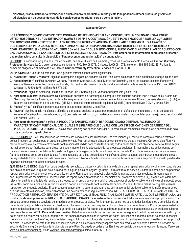**Nosotros, el administrador o el vendedor a quien compró el producto cubierto y este Plan podemos ofrecer productos y servicios adicionales con un descuento cuando lo consideremos oportuno, para su consideración.**

#### **Samsung Care+**

**LOS TÉRMINOS Y CONDICIONES DE ESTE CONTRATO DE SERVICIO (EL "PLAN") CONSTITUYEN UN CONTRATO LEGAL ENTRE USTED, NOSOTROS Y EL ADMINISTRADOR (COMO SE DEFINE A CONTINUACIÓN). ESTE PLAN EXIGE QUE RESUELVA CUALQUIER CONTROVERSIA CON NOSOTROS O EL ADMINISTRADOR MEDIANTE ARBITRAJE VINCULANTE E INDIVIDUAL O A TRAVÉS DE LOS TRIBUNALES PARA CASOS MENORES Y LIMITA NUESTRA RESPONSABILIDAD HACIA USTED. LEA ESTE PLAN DETENIDA Y COMPLETAMENTE. SI NO ESTÁ DE ACUERDO CON ALGUNA DE SUS DISPOSICIONES, PUEDE CANCELAR ESTE PLAN DE ACUERDO CON LAS DISPOSICIONES DE CANCELACIÓN QUE SE ESTABLECEN A CONTINUACIÓN. Para obtener más información sobre cómo presentar una reclamación, consulte la disposición "Para presentar una reclamación" a continuación.** 

**DEUDOR:** La compañía obligada en el marco de este Plan en el Distrito de Columbia y todos los estados, excepto Florida, es **Asurion Warranty Protection Services, LLC,** a quién se puede contactar en P.O. Box 061078, Chicago, IL 60606-1078, teléfono 1-866-856-3882. En Florida, la compañía obligada en el marco de este Plan es **Asurion Warranty Protection Services of Florida, LLC.** 

**DEFINICIONES:** A lo largo de este Plan, los siguientes términos tienen estos significados:

- **1. "Nosotros", "nos"** y **"nuestro"** significa la compañía obligada en el marco de este Plan, como se menciona en la sección Deudor que figura arriba;
- **2. "administrador"** significa (i) Asurion Warranty Protection Services, LLC en el Distrito de Columbia y todos los estados, excepto Florida; y (ii) Asurion Warranty Protection Services of Florida, LLC. en Florida. Puede contactarse al administrador de la siguiente manera: P.O. Box 061078, Chicago, IL 60606-1078, teléfono 866-371-9501;
- **3. "vendedor"** significa Samsung Electronics America, Inc. ("Samsung"), el vendedor del producto y este Plan;
- **4. "producto cubierto"** [hace referencia al artículo de consumo de Samsung que compró y está cubierto por este Plan a través de su cuenta con Samsung Electronics America, Inc. en la fecha en que se produce la avería, según se identifica mediante el Número de serie electrónico (ESN), el Número de identificación de equipo móvil (MEID) o Identidad internacional de equipo móvil (IMEI) para dispositivos CDMA y tarjeta SIM;
- **5. "usted"** y **"su"** significa la persona que compró el producto cubierto y este Plan;
- **6. "avería"** significa la falla mecánica o eléctrica del producto cubierto causada por lo siguiente: (i) defectos en materiales o mano de obra; (ii) sobretensión; (iii) polvo, calor o humedad; (iv) desgaste normal por uso; o (v) daños no intencionales y accidentales por manejo como resultado del uso normal ("ADH"); y
- **7. "producto de reemplazo"** significa un **PRODUCTO SAMSUNG NUEVO, REACONDICIONADO O REMANUFACTURADO DE CARACTERÍSTICAS Y FUNCIONALIDAD IGUALES O SIMILARES QUE CUMPLE CON LAS ESPECIFICACIONES DE FÁBRICA DEL PRODUCTO CUBIERTO ORIGINAL.** Los avances tecnológicos pueden dar lugar a un producto de reemplazo con un precio de venta más bajo que el producto original cubierto.

**INSTRUCCIONES:** Este Plan, incluidos los términos, las condiciones, las limitaciones, las exclusiones y el recibo de compra o correo electrónico de confirmación del pedido para el producto cubierto y este Plan constituyen el acuerdo completo entre usted y nosotros. Conserve este Plan y el recibo de compra o el correo electrónico de confirmación del pedido para consultas futuras; podría necesitarlos para obtener el servicio. Debe seguir las instrucciones del fabricante para el uso, cuidado y mantenimiento adecuados de los productos cubiertos. El incumplimiento de las pautas de mantenimiento y servicio del fabricante puede dar lugar a la denegación de la cobertura en virtud de este Plan. Recomendamos encarecidamente (pero no exigimos como condición de este Plan) el respaldo periódico de los datos y el software. Si corresponde, es importante que realice la copia de seguridad de todos los archivos de datos en su producto cubierto antes de obtener el servicio; las reparaciones a su producto cubierto pueden dar lugar a la eliminación de estos archivos de datos.

**QUÉ ESTÁ CUBIERTO:** Este Plan cubre costos de reemplazo o piezas y costos de mano de obra para reparar su producto cubierto en caso de que sea objeto de una avería que no esté cubierta por ninguna póliza de seguro, garantía u otro contrato de servicio. Si determinamos que no podemos reparar su producto cubierto como se especifica en este Plan, podemos, a nuestra discreción tomar las siguientes medidas: (i) reemplazarlo con un producto de reemplazo; (ii) reembolsarle las reparaciones autorizadas o el reemplazo del producto cubierto; o (iii), si así lo consideramos relevante, emitirle una tarjeta de regalo o un cheque, por el precio de compra original que pagó por el producto cubierto, sin incluir el impuesto sobre las ventas, como se indica en su recibo de venta o correo electrónico de confirmación del pedido. Pueden utilizarse piezas no originales para la reparación del producto cubierto. Si se produce una avería en la batería estándar junto con la avería del producto cubierto, también repararemos o, a nuestra entera discreción, reemplazaremos una batería estándar según corresponda. NO SE ASEGURA, DECLARA O GARANTIZA QUE UN PRODUCTO DE REEMPLAZO SERÁ IDÉNTICO U OFREZCA LAS MISMAS FUNCIONALIDADES QUE EL ARTÍCULO QUE SE REEMPLAZA. **Los productos de reemplazo serán NUEVOS O REACONDICIONADOS, a nuestra entera discreción.** El dispositivo inalámbrico proporcionado como producto de reemplazo se convierte de inmediato en el producto cubierto. Por la presente, usted nos asigna todos los derechos y beneficios de la garantía de cualquier fabricante u otra cobertura auxiliar relacionada con cualquier producto cubierto que reemplacemos. Por la presente, usted nos asigna todos los derechos y beneficios de la garantía de cualquier fabricante u otra cobertura auxiliar relacionada con cualquier producto cubierto que reemplacemos. **NOTA: Para teléfonos móviles:** Usted es responsable de realizar una copia de seguridad de todo el software informático y los datos antes de comenzar cualquier reparación. No somos responsables de la pérdida de datos, incluidos documentos, bases de datos, mensajes, licencias, contactos, contraseñas, libros/revistas, juegos, fotos, videos, tonos de llamada, música u otro software o datos no estándar en su producto cubierto. La cobertura de este Plan también incluye acceso a asistencia técnica y soporte para sus productos cubiertos a través del servicio de soporte de Samsung Care+ durante la vigencia de este Plan. Se puede acceder a los términos de servicio del soporte técnico Samsung Care+ en www.asurion.com/samsung. Visite www.asurion.com/samsung o llame al 866-371-9501.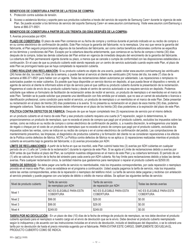#### **BENEFICIOS DE COBERTURA A PARTIR DE LA FECHA DE COMPRA:**

- **1.** Protección contra subidas de tensión.
- **2.** Acceso a asistencia técnica y soporte para sus productos cubiertos a través del servicio de soporte de Samsung Care+ durante la vigencia de este Plan. Se puede acceder a los términos de servicio del soporte Samsung Care+ en www.asurion.com/samsung. Visite www.asurion.com/Samsung o llame al 866-371-9501.

#### **BENEFICIOS DE COBERTURA A PARTIR DE LOS TREINTA (30) DÍAS DESPUÉS DE LA COMPRA:**

#### **1.** Averías provocadas por ADH.

**PLAZO DE COBERTURA:** El plazo de este Plan comienza en su fecha de compra y continúa durante el período indicado en su recibo de compra o en su correo electrónico de confirmación de pedido. Este Plan incluye la garantía del fabricante; no la reemplaza. Una vez que vence la garantía del fabricante, el Plan seguirá proporcionando algunos de los beneficios del fabricante, así como ciertos beneficios adicionales conforme se especifica en los términos y condiciones del Plan. Excepto por la cobertura descrita anteriormente, que comienza en su fecha de compra o treinta (30) días después de la compra, todas las demás coberturas del Plan entran en vigencia de inmediato después del vencimiento de la garantía del fabricante. La cobertura del Plan permanecerá vigente durante su plazo, a menos que se cancele o cumpla de conformidad con las disposiciones establecidas a continuación. En el caso de que su producto cubierto esté siendo reparado por un centro de servicio autorizado cuando expire este Plan, el plazo de este Plan se prorrogará hasta que se haya completado la reparación cubierta.

**CÓMO REALIZAR UNA RECLAMACIÓN:** Si su producto cubierto es objeto de una avería, puede visitar www.asurion.com/samsung las veinticuatro (24) horas del día, los siete (7) días de la semana, o puede llamar al servicio al cliente las veinticuatro (24) horas del día, los siete (7) días de la semana al 866-371-9501 para hablar con un agente. Todas las reclamaciones deben autorizarse por adelantado. Las reparaciones o remplazos no autorizados pueden no estar cubiertos. Es posible que haya disponible un servicio técnico en depósito, al que pueda llevar el dispositivo o remoto; el agente de servicio al cliente le informará sobre el tipo de servicio para el que califica su producto cubierto durante la presentación de la reclamación. Pagaremos el costo de envío de su producto cubierto hacia y desde el centro de servicio autorizado si se requiere servicio en depósito. Podemos solicitarle que rellene un formulario de facilitación de reclamación antes de recibir el servicio, un producto de reemplazo o el reembolso en el marco de este Plan. También se le puede solicitar que presente una identificación con foto emitida por el estado, que no sea un carnet de estudiante o licencia o identificación profesional, como condición para recibir el servicio, un producto de reemplazo o un reembolso en el marco de este Plan. Debe presentar su reclamación en el plazo de treinta (30) días posteriores a la avería. Si no presenta su reclamación en el plazo de esos treinta (30) días, podemos denegarle cobertura. Todas las reclamaciones deben informarse en el plazo de los treinta (30) días posteriores a la expiración del plazo de este Plan.

**POLÍTICA CONTRA DEFECTOS DE FÁBRICA:** Después de que se hayan completado tres (3) reparaciones de servicio por el mismo defecto

en un producto cubierto en el marco de este Plan y ese producto cubierto requiera una cuarta (4.ª) reparación, según lo determinemos, le proporcionaremos un producto de reemplazo, que no exceda el precio de compra que pagó por el producto cubierto, excluidos los impuestos sobre las ventas, como se indica en su recibo de compra o correo electrónico de confirmación de pedido, o, a nuestra discreción, le entregaremos una tarjeta de regalo o cheque por el costo de un producto de reemplazo que no exceda el precio de compra que pagó por el producto cubierto, excluidos los impuestos sobre las ventas, como se indica en su recibo de compra o en el correo electrónico de confirmación del pedido. Las comprobaciones de mantenimiento preventivo, las limpiezas, el diagnóstico de productos cubiertos y la formación del cliente no se consideran reparaciones a los efectos de la Política contra defectos de fábrica. NOTA: La Política contra defectos de fábrica no se aplica a: (i) reparaciones realizadas mientras el producto cubierto se encuentra bajo la garantía del fabricante; o (ii) averías provocadas por ADH.

**LÍMITE DE RECLAMACIONES:** A partir de la fecha en que se inscribió, este Plan cubrirá hasta tres (3) averías por ADH cubiertas en cualquier período de un (1) año (el "Límite de la reclamación") durante la vigencia de este Plan. Si se agota el Límite de reclamaciones debido a averías por ADH antes de que finalice el plazo del Plan, se cumplirán nuestras obligaciones en el marco de este Plan y su cobertura terminará. El período de un (1) año se calcula en función de la fecha del siniestro para cada avería por ADH cubierta. No hay límite para reclamaciones debido a todas las demás averías. Para cualquier reclamación única, la cantidad máxima que gastaremos para reemplazar o reparar el producto cubierto es \$2500.00.

**TARIFA DE SERVICIO:** Se debe pagar una tarifa de servicio no reembolsable, más los impuestos correspondientes, por cada reparación o reemplazo provisto en el marco este Plan, como se establece en el programa a continuación. Usted acepta pagarnos la tarifa de servicio, más los impuestos sobre las ventas correspondientes, antes de la reparación o reemplazo del teléfono móvil. La tarifa de servicio debe pagarse y recibirse con antelación al servicio prestado y puede pagarse con una tarjeta de débito o crédito de marca válidas. Se aplican las siguientes tarifas de servicio:

| Nivel de producto cubierto | Tarifa de servicio<br>de reemplazo por ADH   | Tarifa de servicio<br>de reparación por ADH  | Todas las demás averías                      |
|----------------------------|----------------------------------------------|----------------------------------------------|----------------------------------------------|
| Nivel 1                    | NO ES ELEGIBLE PARA ESTA<br><b>COBERTURA</b> | NO ES ELEGIBLE PARA ESTA<br><b>COBERTURA</b> | NO ES ELEGIBLE PARA ESTA<br><b>COBERTURA</b> |
| Nivel 2                    | \$99.00                                      | \$29.00                                      | \$0.00                                       |
| Nivel 3                    | \$99.00                                      | \$29.00                                      | \$0.00                                       |
| Nivel 4                    | \$249.00                                     | \$249.00                                     | \$0.00                                       |

**TARIFA POR NO DEVOLUCIÓN :** En un plazo de diez (10) días de la fecha de entrega de producto de reemplazo, se nos debe devolver el producto cubierto aprobado para el reemplazo a nuestro cargo en el envío de devolución que se le envío. Debe devolver el producto cubierto reemplazado según lo indiquemos y de acuerdo con las instrucciones incluidas en el envío de devolución, incluido el desbloqueo del dispositivo, o se le cobrará una tarifa por no devolución de hasta el precio minorista sugerido por el fabricante. PARA EVITAR ESTE CARGO, SIMPLEMENTE DEVUELVA EL PRODUCTO CUBIERTO COMO SE INDICA.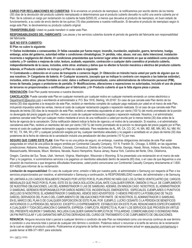**CARGO POR RECLAMACIONES NO CUBIERTAS:** Si le enviamos un producto de reemplazo, le notificaremos por escrito dentro de los treinta (30) días de la devolución del producto cubierto reemplazado si determinamos que el producto cubierto devuelto no sufrió una avería cubierta por el Plan. Se le cobrará un cargo por reclamación no cubierta de hasta \$2500.00, a menos que devuelva el producto de reemplazo, en buen estado de funcionamiento, a su costo de envío dentro de los quince (15) días posteriores a nuestra notificación. Si devuelve el producto de reemplazo según lo exige este Plan, le devolveremos su producto cubierto original.

#### **TRANSFERIBILIDAD:** Usted no puede transferir ni ceder este Plan.

**RESPONSABILIDADES DEL FABRICANTE:** Las piezas y los servicios cubiertos durante el período de garantía del fabricante son responsabilidad del fabricante.

#### **QUÉ NO ESTÁ CUBIERTO:**

#### **El Plan no cubre lo siguiente:**

**1> Daños incidentales o consecuentes; 2> fallas causadas por fuerza mayor, incendio, inundación, explosión, guerra, terrorismo, huelga, embargo, actos del gobierno, autoridad militar o condiciones climatológicas; 3> pérdida, robo, abuso, mal uso, daño intencional, instalación incorrecta o negligencia del cliente; 4> condiciones preexistentes que tuvieron lugar antes del momento en que se estableció como producto cubierto; y 5> cambios o mejoras de color, textura, acabado, expansión, contracción o cualquier daño cosmético al producto cubierto, independientemente de la causa, incluidos, entre otros: arañazos y daños que no afecten la función mecánica o eléctrica del producto cubierto. Además, el Producto cubierto no incluye y el Plan no cubre lo siguiente:** 

**1> Contrabando u obtención en el curso de transporte o comercio ilegal; 2> Obtención en tránsito hacia usted por parte de alguien que no sea nosotros; 3> Cargadores de batería; 4> Cualquier accesorio, (excepto que se indique lo contrario con respecto a las baterías estándar), incluidos, entre otros: placas frontales en color, datos o software personalizado, como administradores de información personal (PIM), tonos de llamada, juegos o protectores de pantalla; 5> Modificaciones, alteraciones o reparaciones no autorizadas, incluido el uso de piezas de terceros no proporcionadas o certificadas por el fabricante; y 6> Producto cubierto al que le falta alguna pieza o piezas.** 

**RENOVACIÓN:** Este Plan puede renovarse a nuestra discreción.

**CANCELACIÓN:** Puede cancelar este Plan en cualquier momento por cualquier motivo en cualquier momento enviando un correo electrónico a DepartmentC@asurion.com o escribiendo al administrador a: P.O. Box 1818, Sterling, VA 20167. En caso de que cancele este Plan dentro de los treinta (30) días siguientes a la recepción de este Plan, recibirá un reembolso completo de cualquier pago realizado por usted en el marco de este Plan, incluyendo impuestos sobre las ventas, menos el costo de cualquier reclamación pagada o reparación realizada. En el caso de que cancele este Plan después de treinta (30) días de la recepción de este Plan, recibirá un reembolso equivalente al cien por ciento (100 %) del monto prorrateado de la porción no devengada del precio pagado por el Plan, menos el costo de cualquier reclamación pagada o reparación realizada. Nosotros, o el administrador, podemos cancelar este Plan por cualquier motivo mediante el envío de una notificación a usted por escrito por lo menos treinta (30) días antes de la fecha de vigencia de la cancelación. Dicha notificación deberá indicar la fecha de vigencia y el motivo de la cancelación. Si nosotros, o el administrador, cancelamos este Plan, recibirá un reembolso del cien por ciento (100 %) del monto prorrateado de la porción no devengada del precio pagado por el Plan, menos el costo de cualquier reclamación pagada o reparación realizada. Para residentes de AL, AR, CA, CO, DC, HI, MA, MD, ME, MN, MO, NJ, NM, NV, NY SC, TX, WA, WI y WY y cualquier jurisdicción exigida por ley, cualquier reembolso adeudado y no pagado o acreditado en un plazo de treinta (30) días posteriores de la fecha de videncia de la cancelación incluirá una penalización del diez porciento (10 %) por mes.

**SEGURO QUE CUBRE ESTE PLAN:** Este Plan no es una póliza de seguro; sin embargo, nuestras obligaciones derivadas de este Plan están aseguradas en virtud de una póliza de seguro emitida por Continental Casualty Company, 151 N. Franklin St., Chicago, IL 60606, en las siguientes jurisdicciones: Alabama, Arkansas, California, Colorado, Connecticut, Distrito de Columbia, Florida, Georgia, Hawái, Illinois, Indiana, Kentucky, Maine, Massachusetts, Minnesota, Misuri, Montana, Nevada, Nuevo Hampshire, Nueva Jersey, Nueva York, Carolina del Norte, Ohio, Oklahoma,

Oregón, Carolina del Sur, Texas, Utah, Vermont, Virginia, Washington, Wisconsin o Wyoming. Si ha presentado una reclamación en el marco de este Plan y no pagamos, ni suministramos servicios o le pagamos un reembolso adeudado dentro de sesenta (60) días, o en caso de que lleguemos a una situación de insolvencia o que tengamos dificultades financieras, usted podrá comunicarse con Continental Casualty Company directamente al 1-800- 831-4262 para informar de su reclamación.

**Limitación de responsabilidad:** En caso de cualquier error, omisión o falla por nuestra parte, el administrador o Samsung con respecto al Plan o los servicios proporcionados por nosotros, el administrador o Samsung a continuación, la RESPONSABILIDAD nuestra, del administrador y de Samsung

SE LIMITARÁ A LOS CARGOS REALMENTE PAGADO POR USTED POR EL PLAN (PERO NO MÁS QUE LOS ÚLTIMOS VEINTICUATRO [24] CARGOS MENSUALES QUE PAGÓ POR EL PLAN). ESTE ES SU ÚNICA SOLUCIÓN LEGAL ANTE CUALQUIER ERROR, OMISIÓN O FALLA DE CUMPLIMIENTO DE NUESTRAS OBLIGACIONES, LAS DEL ADMINISTRADOR O LAS DE SAMSUNG. ADEMÁS, EN NINGÚN CASO NOSOTROS, EL ADMINISTRADOR O SAMSUNG, SEREMOS RESPONSABLES POR DAÑOS INDIRECTOS, INCIDENTALES, EMERGENTES, ESPECIALES, EJEMPLARES O PUNITIVOS (INCLUSO SI NOSOTROS, EL ADMINISTRADOR O SAMSUNG, HEMOS SIDO ADVERTIDOS O HEMOS PREVISTO LA POSIBILIDAD DE TALES DAÑOS), DERIVADOS DEL PLAN O DEL CUMPLIMIENTO DE OBLIGACIONES POR PARTE DE NOSOTROS, EL ADMINISTRADOR O SAMSUNG, EN EL MARCO DEL PLAN O DE CUALQUIER DISPOSICIÓN DE ESTE PLAN, POR EJEMPLO, LUCRO CESANTE O LA PÉRDIDA DE BENEFICIOS ANTICIPADOS O LA PÉRDIDA DEL NEGOCIO. EXCEPTO LO EXPRESAMENTE ESTABLECIDO EN ESTE PLAN, RENUNCIAMOS ESPECÍFICAMENTE A CUALQUIER Y TODA DECLARACIÓN O GARANTÍA, EXPRESA O IMPLÍCITA, RESPECTO AL PLAN Y LOS SERVICIOS QUE PROVEEN EN VIRTUD DEL PRESENTE ASURION Y SAMSUNG, INCLUIDA CUALQUIER GARANTÍA IMPLÍCITA DE TITULARIDAD, COMERCIABILIDAD O IDONEIDAD PARA UN FIN PARTICULAR Y LAS GARANTÍAS IMPLÍCITAS DERIVADAS DEL CURSO DE TRATAMIENTO O DE CUMPLIMIENTO DE OBLIGACIONES.

**RENUNCIA:** Ninguna renuncia total o parcial a cualquier término o condición de este Plan se interpretará como una renuncia continua de ese término o condición o una renuncia total o parcial de cualquier otro término o condición. Podemos reducir o renunciar a la tarifa de servicio de la reclamación de la cual es objeto el producto cubierto. Publicaremos el programa de tarifas de servicio por reclamaciones actual en www.asurion.com/samsung o puede llamar al 866-371-9501 para solicitarla.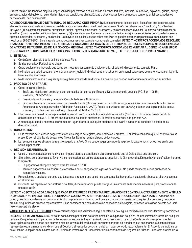**Fuerza mayor:** No tenemos ninguna responsabilidad por retrasos o fallas debido a hechos fortuitos, incendio, inundación, explosión, guerra, huelga, embargo, actos del gobierno, autoridad militar, o las condiciones climatológicas u otras causas fuera de nuestro control y, en tal caso, podemos cancelar este Plan de inmediato.

**ACUERDO DE ARBITRAJE O DE TRIBUNAL DE RECLAMACIONES MENORES:** Lea atentamente esta cláusula. Esto afecta sus derechos. A los efectos de este acuerdo de arbitraje o tribunal de casos menores (denominado en lo sucesivo el "A.A"), las referencias a "nosotros" y "nos" también incluyen a (1) las empresas matrices, subsidiarias, filiales, agentes, empleados, sucesores y cesionarios respectivos del Deudor y el administrador de este Plan (conforme se ha definido anteriormente); y (2) el vendedor (conforme se ha definido anteriormente) y sus subsidiarias de propiedad absoluta, agentes, empleados, sucesores y cesionarios. La mayoría de sus inquietudes sobre este Plan se pueden abordar simplemente al comunicarse con nosotros al 866-371-9501. En el caso de que no podamos resolver cualquier controversia con usted, **USTED Y NOSOTROS ACORDAMOS RESOLVER ESAS CONTROVERSIAS MEDIANTE EL ARBITRAJE VINCULANTE O A TRAVÉS DE UN TRIBUNAL DE RECLAMACIONES MENORES EN LUGAR DE A TRAVÉS DE TRIBUNALES DE JURISDICCIÓN GENERAL. USTED Y NOSOTROS ACORDAMOS RENUNCIAR AL DERECHO A UN JUICIO POR JURADO Y RENUNCIAR AL DERECHO A PARTICIPAR EN DEMANDAS COLECTIVAS, U OTROS PROCESOS REPRESENTATIVOS.** 

#### **1. ESTE A.A.:**

- **a.** Continúa en vigencia tras la extinción de este Plan.
- **b.** Se rige por la Ley Federal de Arbitraje.
- **c.** Cubre cualquier controversia que tenga con nosotros concerniente o relacionada, directa o indirectamente, con este Plan.
- **d.** No impide que usted pueda emprender una acción judicial individual contra nosotros en un tribunal para casos de menor cuantía en lugar de llevar a cabo el arbitraje.
- **e.** No le impide informar a cualquier agencia gubernamental de su disputa. Es posible que puedan solicitar una reparación en su nombre.

#### **2. PROCESO DE ARBITRAJE:**

- **a.** Cómo iniciar el arbitraje.
	- Envíe una Notificación de reclamación por escrito por correo certificado al Departamento de Legales, P.O. Box 110656, Nashville, TN 37222-0656.
	- Describa la controversia y la reparación solicitada en la Notificación.
	- Si no resolvemos la controversia en un plazo de treinta (30) días de recibir la Notificación, puede iniciar un arbitraje ante la Asociación Americana de Arbitraje (American Arbitration Association, "AAA"). Puede comunicarse con la AAA y obtener una copia gratuita de sus normas y formularios en www.adr.org o llamando al 1-800-778-7879.
- **b.** El arbitraje será llevado a cabo por la AAA siguiendo las Normas de Arbitraje del Consumidor ("Normas"). Un tribunal puede decidir la aplicabilidad de este A.A. El árbitro decidirá todas las demás cuestiones. El árbitro queda vinculado por este A.A.
- **c.** A menos que usted y nosotros acordemos un lugar diferente, cualquier audiencia se llevará a cabo en el condado o distrito de su dirección postal.

#### **3. HONORARIOS:**

- **a.** En la mayoría de los casos pagaremos todos los cargos de registro, administración y árbitros. Si el árbitro considera que su controversia se presentó con el objetivo de acosar o es frívola, las Normas regirán el pago de los cargos.
- **b.** Le reembolsaremos el cargo de registro pagado a la AAA. Si no puede pagar un cargo de registro, lo pagaremos si usted nos envía una solicitud por escrito.

#### **4. DECISIÓN DE ARBITRAJE:**

- **a.** Usted y nosotros aceptamos no divulgar ninguna oferta de conciliación al árbitro antes de que el árbitro dicte una decisión.
- **b.** Si el árbitro se pronuncia a su favor y la compensación por daños otorgada es superior a la última conciliación que hayamos ofrecido, haremos lo siguiente.
	- Le pagaremos el importe mayor entre los daños o \$7500.
	- También pagaremos los honorarios razonables de su abogado y los gastos de arbitraje. No puede recuperar laudos duplicados de honorarios y gastos.
- **c.** Renunciamos a cualquier derecho que tengamos a requerir que usted nos compense los honorarios y gastos de abogados si prevalecemos en el arbitraje.
- **d.** Si solicita una reparación declaratoria o cautelar, dicha reparación puede otorgase únicamente en la medida necesaria para proporcionarle una reparación.

**USTED Y NOSOTROS ACORDAMOS QUE CADA PARTE PUEDE PRESENTAR RECLAMACIONES CONTRA LA OTRA ÚNICAMENTE A TÍTULO INDIVIDUAL Y NO EN UNA PRESUNTA DEMANDA COLECTIVA, ARBITRAJE COLECTIVO O PROCESO REPRESENTATIVO.** A menos que usted y nosotros acordemos lo contrario, el árbitro no puede consolidar su controversia con la controversia de cualquier otra persona y no puede presidir ningún tipo de proceso representativo. Si se considera que esta disposición específica es inexigible, entonces la totalidad de este A.A. será nulo y carecerá de efecto.

**VARIACIONES SEGÚN EL ESTADO:** Prevalecerán las siguientes variaciones según el estado si hay alguna contradicción con otros términos y condiciones:

**RESIDENTES DE ARIZONA.** Si su aviso de cancelación por escrito se recibe antes de la expiración del plazo, no deduciremos el costo de cualquier reclamación que haya sido pagada o de las reparaciones que se hayan realizado de su reembolso. La exclusión de condiciones preexistentes no se aplica a las condiciones que ocurran antes de la venta del producto de consumo por parte del vendedor, sus cesionarios, subcontratistas o representantes, ni a ninguna condición que el Deudor o el vendedor conocían o debían haber conocido razonablemente. El Acuerdo de arbitraje de este Plan no le impide comunicarse con la División de Protección al Consumidor del Departamento de Seguros de Arizona. La tercera oración de la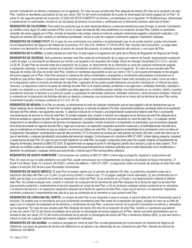sección Cancelación se elimina y reemplaza con la siguiente: "En caso de que cancele este Plan después de treinta (30) días de la recepción de este Plan, recibirá un reembolso equivalente al cien por ciento (100 %) del monto prorrateado de la parte no devengada del precio pagado por el Plan". El punto 5> del segundo párrafo de la sección LO QUE NO ESTÁ CUBIERTO se elimina y se reemplaza con lo siguiente: 5> Modificaciones, alteraciones o reparaciones no autorizadas, incluido el uso de piezas de terceros no provistas o certificadas por el fabricante mientras usted sea el titular."

**RESIDENTES DE CALIFORNIA:** Para todos los productos que no sean electrodomésticos y productos electrónicos para el hogar, la sección Cancelación se modifica como sigue: Si usted cancela el Plan: (a) en un plazo de sesenta (60) días posteriores a la recepción de este Plan, recibirá un reembolso completo del precio pagado por el Plan, incluido el impuesto a las ventas, menos el costo de cualquier reclamación pagada o reparación realizada, o (b) después de sesenta (60) días, recibirá un reembolso prorrateado, menos el costo de cualquier reclamación pagada o reparación realizada.

**RESIDENTES DE CONNECTICUT:** En el caso de una controversia con nosotros o el administrador que no se pueda resolver, puede comunicarse con el Departamento de Seguros del estado de Connecticut, P.O. Box 816, Hartford, CT 06142-0816, Attn: Asuntos del Consumidor. La queja debe contener una descripción de la controversia, el precio de compra del producto, el costo de reparación del producto y una copia del Plan.

**RESIDENTES DE FLORIDA:** La tarifa cobrada por este Plan no está sujeta a la regulación por parte de la Oficina de Regulación de Seguros de Florida.

**RESIDENTES DE GEORGIA.** Solo podremos cancelar este Plan antes de la finalización de su plazo por motivos de fraude, tergiversación sustancial o falta de pago. La cancelación se efectuará por escrito y se ajustará a los requisitos del Código Oficial de Georgia Comentado (O.C.G.A.), sección 33-24-44. Si este Plan se cancela antes de la expiración de su plazo, no deduciremos de su reembolso el costo de cualquier reclamación pagada o reparación realizada. La tercera oración de la sección Cancelación se elimina y reemplaza con la siguiente: "En caso de que cancele este Plan después de treinta (30) días de recibir este Plan, recibirá un reembolso equivalente al cien por ciento (100 %) de la parte prorrateada no devengada del precio pagado por el Plan. Este Plan excluye la cobertura de daños incidentales y emergentes y condiciones preexistentes únicamente en la medida en que dichos daños o condiciones sean conocidos por usted o razonablemente deberían haber sido conocidos por usted. Como se indica en la disposición sobre el Acuerdo de arbitraje de este Plan, cualquiera de las partes puede interponer una acción individual en un tribunal de casos menores. La disposición sobre el Acuerdo de arbitraje de este Plan no le impide plantear problemas a las agencias o entidades federales, estatales o locales con respecto a su controversia. Es posible que estas agencias o entidades puedan solicitar una indemnización en su nombre. Usted y nosotros acordamos renunciar al derecho a un juicio por jurado y a participar en demandas colectivas, arbitrajes colectivos u otros procesos similares. Nada de lo contenido en la disposición de Arbitraje afectará su derecho a presentar una reclamación directa en el marco de los términos de este Plan contra Continental Casualty Company conforme al O.C.G.A. 33-7-6.

**RESIDENTES DE NEVADA:** Si el Plan se cancela, no deduciremos el costo de cualquier reclamación que se haya pagado o de las reparaciones que se hayan realizado de su reembolso. Si este Plan ha estado vigente por un período de setenta (70) días, únicamente podremos cancelarlo antes de la expiración del plazo del Plan debido a las siguientes razones: 1) usted se involucra en un fraude o una tergiversación sustancial al obtener este Plan o al presentar una reclamación de servicio en virtud de este Plan; 2) comete cualquier acto, omisión o violación de cualquiera de los términos de este Plan después de la fecha de entrada en vigencia de este Plan que aumenta sustancial y considerablemente el servicio requerido en virtud de este Plan; o 3) cualquier cambio sustancial en la naturaleza o el alcance del servicio o la reparación requeridos, incluido el servicio o la reparación no autorizados, que se produzca después de la fecha de entrada en vigencia de este Plan y haga que el servicio o la reparación requeridos aumenten sustancial y considerablemente más allá de lo que se contempló en el momento en que se compró o se renovó por última vez este Plan. Si no pagamos el reembolso de la cancelación como se indica en la disposición Cancelación, la penalización será del diez porciento (10 %) del precio de compra por cada período de treinta (30) días o parte del mismo por el que el reembolso y cualquier penalización acumulada permanezcan impagos. Comuníquese con nosotros al 866-371-9501 si tiene alguna pregunta, inquietud o queja acerca de este Plan. En caso de que no esté satisfecho con este Plan, las quejas o preguntas sobre este Plan pueden dirigirse al Departamento de Seguros de Nevada, llamando al (888) 872-3234. El siguiente texto se agrega al punto 5> del segundo párrafo de la sección Lo que no está cubierto: "Si el producto se modifica o altera sin nuestra autorización, únicamente proporcionaremos la cobertura aplicable que no esté relacionada con la modificación o alteración no autorizada o cualquier avería que surja de ella, a menos que el Plan excluya dicha cobertura".

**RESIDENTES DE NUEVO HAMPSHIRE:** Comuníquese con nosotros al 866-371-9501 si tiene alguna pregunta, inquietud o queja acerca del

Plan. En caso de que no esté satisfecho con este Plan, puede comunicarse con el Departamento de Seguros del estado de Nuevo Hampshire, 21 South Fruit Street, Suite 14, Concord, NH 03301, número de teléfono: 1-603-271-2261. La disposición sobre el Acuerdo de arbitraje de este Plan está sujeta a la sección 542 de las Leyes Revisadas Comentadas.

**RESIDENTES DE NUEVO MÉXICO:** Si este Plan ha estado vigente por un período de setenta (70) días, no podremos cancelarlo antes de la expiración del plazo del Plan o un (1) año, lo que ocurra primero, a menos que: (1) no pague cualquier monto adeudado; (2) sea condenado por un delito que da lugar a un aumento en el servicio requerido en virtud del Plan; (3) se involucre en un fraude o una tergiversación material al obtener este Plan; (4) cometa cualquier acto, omisión o violación de cualquiera de los términos de este Plan después de la fecha de vigencia de este Plan que aumenta sustancial y materialmente el servicio requerido en virtud de este Plan; o (5) se produzca cualquier cambio sustancial en la naturaleza o el alcance del servicio o la reparación requeridos después de la fecha de vigencia de este Plan y hace que el servicio o la reparación requeridos aumenten sustancial y materialmente más allá de lo que se contempla en el momento en que compró este Plan.

**RESIDENTES DE CAROLINA DEL NORTE:** La compra de este Plan no es necesaria ni para la compra ni para la obtención de la financiación para el producto. Es posible que no renovemos sino que únicamente cancelemos este Plan antes de la expiración del plazo, excepto en caso de su falta de pago o por la violación de cualquiera de los términos y condiciones de este Plan. La tercera oración de la sección Cancelación se elimina y reemplaza con la siguiente: "En caso de que cancele este Plan después de treinta (30) días de la recepción de este Plan, recibirá un reembolso equivalente al cien por ciento (100 %) del monto prorrateado de la porción no devengada del precio pagado por el Plan, menos una tarifa administrativa que no exceda el diez por ciento (10 %) del monto prorrateado de la porción no devengada del precio del Plan o veinticinco dólares (\$25), lo que sea menor y menos el costo de cualquier reclamación pagada o reparación realizada".

**RESIDENTES DE OKLAHOMA:** La cobertura otorgada en virtud de este Plan no está garantizada por la Asociación de Garantía de Seguros de Oklahoma. Las leyes de garantía de servicio de Oklahoma no se aplican a las referencias de uso comercial en este Plan. Número de licencia de Oklahoma: 44198043.